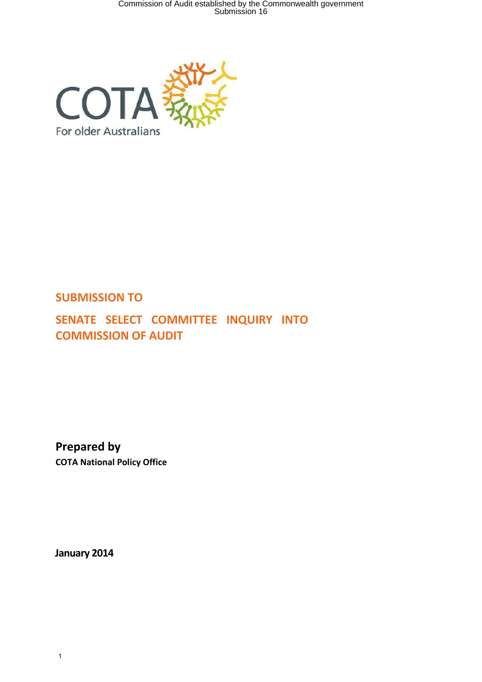Commission of Audit established by the Commonwealth government Submission 16



# **SUBMISSION TO**

**SENATE SELECT COMMITTEE INQUIRY INTO COMMISSION OF AUDIT** 

**Prepared by COTA National Policy Office** 

**January 2014**

1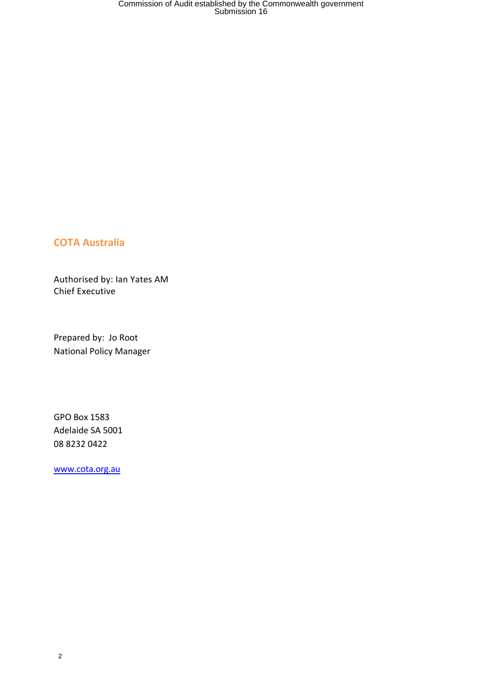## **COTA Australia**

Authorised by: Ian Yates AM Chief Executive

Prepared by: Jo Root National Policy Manager

GPO Box 1583 Adelaide SA 5001 08 8232 0422

[www.cota.org.au](http://www.cota.org.au/)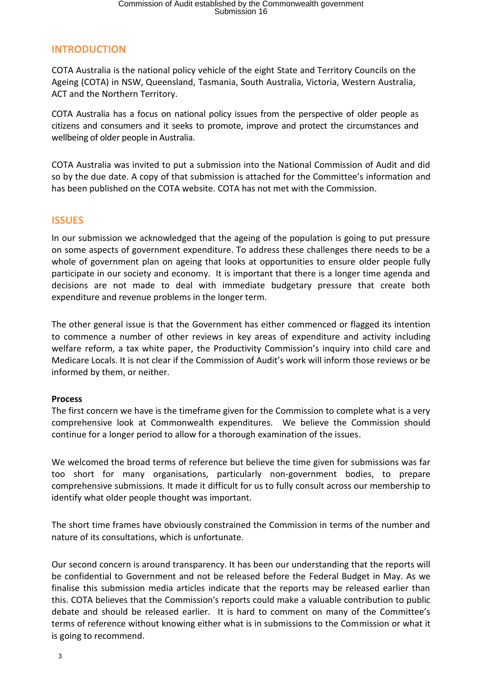# **INTRODUCTION**

COTA Australia is the national policy vehicle of the eight State and Territory Councils on the Ageing (COTA) in NSW, Queensland, Tasmania, South Australia, Victoria, Western Australia, ACT and the Northern Territory.

COTA Australia has a focus on national policy issues from the perspective of older people as citizens and consumers and it seeks to promote, improve and protect the circumstances and wellbeing of older people in Australia.

COTA Australia was invited to put a submission into the National Commission of Audit and did so by the due date. A copy of that submission is attached for the Committee's information and has been published on the COTA website. COTA has not met with the Commission.

## **ISSUES**

In our submission we acknowledged that the ageing of the population is going to put pressure on some aspects of government expenditure. To address these challenges there needs to be a whole of government plan on ageing that looks at opportunities to ensure older people fully participate in our society and economy. It is important that there is a longer time agenda and decisions are not made to deal with immediate budgetary pressure that create both expenditure and revenue problems in the longer term.

The other general issue is that the Government has either commenced or flagged its intention to commence a number of other reviews in key areas of expenditure and activity including welfare reform, a tax white paper, the Productivity Commission's inquiry into child care and Medicare Locals. It is not clear if the Commission of Audit's work will inform those reviews or be informed by them, or neither.

#### **Process**

The first concern we have is the timeframe given for the Commission to complete what is a very comprehensive look at Commonwealth expenditures. We believe the Commission should continue for a longer period to allow for a thorough examination of the issues.

We welcomed the broad terms of reference but believe the time given for submissions was far too short for many organisations, particularly non-government bodies, to prepare comprehensive submissions. It made it difficult for us to fully consult across our membership to identify what older people thought was important.

The short time frames have obviously constrained the Commission in terms of the number and nature of its consultations, which is unfortunate.

Our second concern is around transparency. It has been our understanding that the reports will be confidential to Government and not be released before the Federal Budget in May. As we finalise this submission media articles indicate that the reports may be released earlier than this. COTA believes that the Commission's reports could make a valuable contribution to public debate and should be released earlier. It is hard to comment on many of the Committee's terms of reference without knowing either what is in submissions to the Commission or what it is going to recommend.